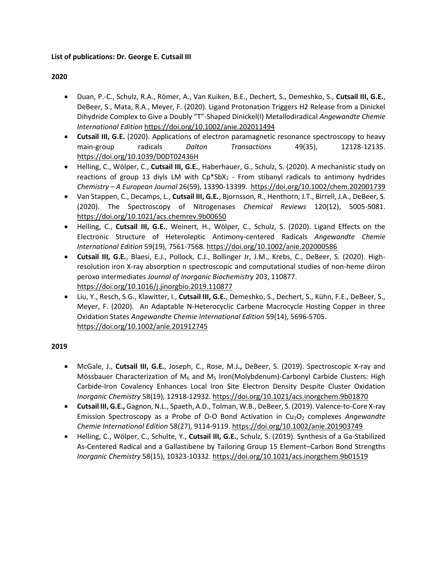### **List of publications: Dr. George E. Cutsail III**

#### **2020**

- Duan, P.-C., Schulz, R.A., Römer, A., Van Kuiken, B.E., Dechert, S., Demeshko, S., **Cutsail III, G.E.**, DeBeer, S., Mata, R.A., Meyer, F. (2020). Ligand Protonation Triggers H2 Release from a Dinickel Dihydride Complex to Give a Doubly "T"‐Shaped Dinickel(I) Metallodiradical *Angewandte Chemie International Edition* <https://doi.org/10.1002/anie.202011494>
- **Cutsail III, G.E.** (2020). Applications of electron paramagnetic resonance spectroscopy to heavy main-group radicals *Dalton Transactions* 49(35), 12128-12135. <https://doi.org/10.1039/D0DT02436H>
- Helling, C., Wölper, C., **Cutsail III, G.E.**, Haberhauer, G., Schulz, S. (2020). A mechanistic study on reactions of group 13 diyls LM with  $Cp*SbX<sub>2</sub>$  - From stibanyl radicals to antimony hydrides *Chemistry – A European Journal* 26(59), 13390-13399. <https://doi.org/10.1002/chem.202001739>
- Van Stappen, C., Decamps, L., **Cutsail III, G.E.**, Bjornsson, R., Henthorn, J.T., Birrell, J.A., DeBeer, S. (2020). The Spectroscopy of Nitrogenases *Chemical Reviews* 120(12), 5005-5081. <https://doi.org/10.1021/acs.chemrev.9b00650>
- Helling, C., **Cutsail III, G.E.**, Weinert, H., Wölper, C., Schulz, S. (2020). Ligand Effects on the Electronic Structure of Heteroleptic Antimony‐centered Radicals *Angewandte Chemie International Edition* 59(19), 7561-7568. <https://doi.org/10.1002/anie.202000586>
- **Cutsail III, G.E.**, Blaesi, E.J., Pollock, C.J., Bollinger Jr, J.M., Krebs, C., DeBeer, S. (2020). Highresolution iron X-ray absorption n spectroscopic and computational studies of non-heme diiron peroxo intermediates *Journal of Inorganic Biochemistry* 203, 110877. <https://doi.org/10.1016/j.jinorgbio.2019.110877>
- Liu, Y., Resch, S.G., Klawitter, I., **Cutsail III, G.E.**, Demeshko, S., Dechert, S., Kühn, F.E., DeBeer, S., Meyer, F. (2020). An Adaptable N‐Heterocyclic Carbene Macrocycle Hosting Copper in three Oxidation States *Angewandte Chemie International Edition* 59(14), 5696-5705. <https://doi.org/10.1002/anie.201912745>

#### **2019**

- McGale, J., **Cutsail III, G.E.**, Joseph, C., Rose, M.J**.,** DeBeer, S. (2019). Spectroscopic X-ray and Mössbauer Characterization of M<sub>6</sub> and M<sub>5</sub> Iron(Molybdenum)-Carbonyl Carbide Clusters: High Carbide-Iron Covalency Enhances Local Iron Site Electron Density Despite Cluster Oxidation *Inorganic Chemistry* 58(19), 12918-12932.<https://doi.org/10.1021/acs.inorgchem.9b01870>
- **Cutsail III, G.E.,** Gagnon, N.L., Spaeth, A.D., Tolman, W.B., DeBeer, S. (2019). Valence‐to‐Core X-ray Emission Spectroscopy as a Probe of O‐O Bond Activation in Cu2O<sup>2</sup> complexes *Angewandte Chemie International Edition* 58(27), 9114-9119.<https://doi.org/10.1002/anie.201903749>
- Helling, C., Wölper, C., Schulte, Y., **Cutsail III, G.E.**, Schulz, S. (2019). Synthesis of a Ga-Stabilized As-Centered Radical and a Gallastibene by Tailoring Group 15 Element–Carbon Bond Strengths *Inorganic Chemistry* 58(15), 10323-10332.<https://doi.org/10.1021/acs.inorgchem.9b01519>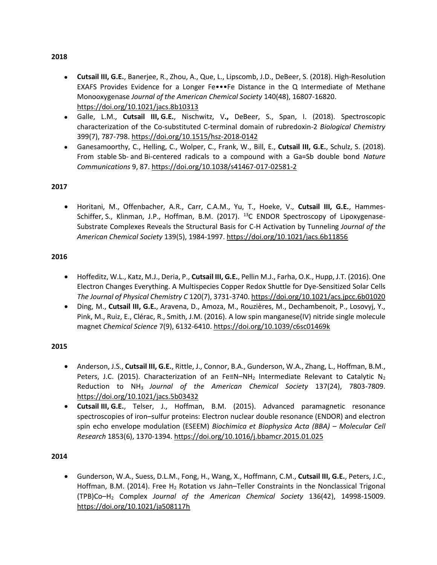- **Cutsail III, G.E.**, Banerjee, R., Zhou, A., Que, L., Lipscomb, J.D., DeBeer, S. (2018). High-Resolution EXAFS Provides Evidence for a Longer Fe•••Fe Distance in the Q Intermediate of Methane Monooxygenase *Journal of the American Chemical Society* 140(48), 16807-16820. <https://doi.org/10.1021/jacs.8b10313>
- Galle, L.M., **Cutsail III, G.E.**, Nischwitz, V**.,** DeBeer, S., Span, I. (2018). Spectroscopic characterization of the Co-substituted C-terminal domain of rubredoxin-2 *Biological Chemistry* 399(7), 787-798.<https://doi.org/10.1515/hsz-2018-0142>
- Ganesamoorthy, C., Helling, C., Wolper, C., Frank, W., Bill, E., **Cutsail III, G.E.**, Schulz, S. (2018). From stable Sb- and Bi-centered radicals to a compound with a Ga=Sb double bond *Nature Communications* 9, 87[. https://doi.org/10.1038/s41467-017-02581-2](https://doi.org/10.1038/s41467-017-02581-2)

## **2017**

• Horitani, M., Offenbacher, A.R., Carr, C.A.M., Yu, T., Hoeke, V., **Cutsail III, G.E.**, Hammes-Schiffer, S., Klinman, J.P., Hoffman, B.M. (2017).  $^{13}C$  ENDOR Spectroscopy of Lipoxygenase-Substrate Complexes Reveals the Structural Basis for C-H Activation by Tunneling *Journal of the American Chemical Society* 139(5), 1984-1997[. https://doi.org/10.1021/jacs.6b11856](https://doi.org/10.1021/jacs.6b11856)

### **2016**

- Hoffeditz, W.L., Katz, M.J., Deria, P., **Cutsail III, G.E.**, Pellin M.J., Farha, O.K., Hupp, J.T. (2016). One Electron Changes Everything. A Multispecies Copper Redox Shuttle for Dye-Sensitized Solar Cells *The Journal of Physical Chemistry C* 120(7), 3731-3740.<https://doi.org/10.1021/acs.jpcc.6b01020>
- Ding, M., **Cutsail III, G.E.**, Aravena, D., Amoza, M., Rouzières, M., Dechambenoit, P., Losovyj, Y., Pink, M., Ruiz, E., Clérac, R., Smith, J.M. (2016). A low spin manganese(IV) nitride single molecule magnet *Chemical Science* 7(9), 6132-6410[. https://doi.org/10.1039/c6sc01469k](https://doi.org/10.1039/c6sc01469k)

### **2015**

- Anderson, J.S., **Cutsail III, G.E.**, Rittle, J., Connor, B.A., Gunderson, W.A., Zhang, L., Hoffman, B.M., Peters, J.C. (2015). Characterization of an Fe≡N–NH<sub>2</sub> Intermediate Relevant to Catalytic N<sub>2</sub> Reduction to NH3 *Journal of the American Chemical Society* 137(24), 7803-7809. <https://doi.org/10.1021/jacs.5b03432>
- **Cutsail III, G.E.**, Telser, J., Hoffman, B.M. (2015). Advanced paramagnetic resonance spectroscopies of iron–sulfur proteins: Electron nuclear double resonance (ENDOR) and electron spin echo envelope modulation (ESEEM) *Biochimica et Biophysica Acta (BBA) – Molecular Cell Research* 1853(6), 1370-1394.<https://doi.org/10.1016/j.bbamcr.2015.01.025>

# **2014**

• Gunderson, W.A., Suess, D.L.M., Fong, H., Wang, X., Hoffmann, C.M., **Cutsail III, G.E.**, Peters, J.C., Hoffman, B.M. (2014). Free H<sub>2</sub> Rotation vs Jahn–Teller Constraints in the Nonclassical Trigonal (TPB)Co–H<sup>2</sup> Complex *Journal of the American Chemical Society* 136(42), 14998-15009. <https://doi.org/10.1021/ja508117h>

#### **2018**